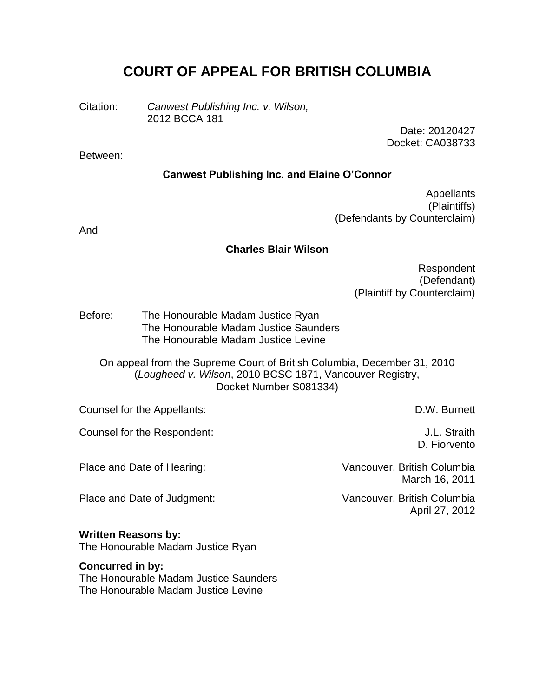# **COURT OF APPEAL FOR BRITISH COLUMBIA**

Citation: *Canwest Publishing Inc. v. Wilson,* 2012 BCCA 181

> Date: 20120427 Docket: CA038733

#### Between:

#### **Canwest Publishing Inc. and Elaine O'Connor**

Appellants (Plaintiffs) (Defendants by Counterclaim)

And

#### **Charles Blair Wilson**

Respondent (Defendant) (Plaintiff by Counterclaim)

Before: The Honourable Madam Justice Ryan The Honourable Madam Justice Saunders The Honourable Madam Justice Levine

On appeal from the Supreme Court of British Columbia, December 31, 2010 (*Lougheed v. Wilson*, 2010 BCSC 1871, Vancouver Registry, Docket Number S081334)

Counsel for the Appellants: D.W. Burnett

Counsel for the Respondent: J.L. Straith

Place and Date of Judgment: Vancouver, British Columbia

#### **Written Reasons by:**

The Honourable Madam Justice Ryan

#### **Concurred in by:**

The Honourable Madam Justice Saunders The Honourable Madam Justice Levine

D. Fiorvento

Place and Date of Hearing: Vancouver, British Columbia March 16, 2011

April 27, 2012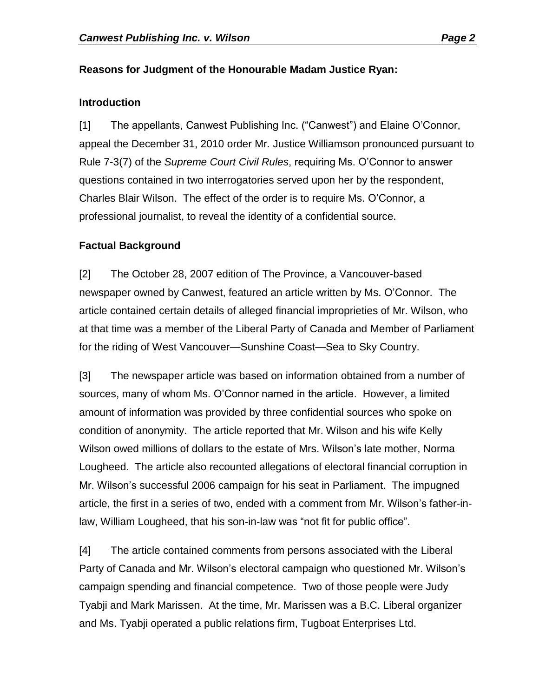## **Reasons for Judgment of the Honourable Madam Justice Ryan:**

#### **Introduction**

[1] The appellants, Canwest Publishing Inc. ("Canwest") and Elaine O'Connor, appeal the December 31, 2010 order Mr. Justice Williamson pronounced pursuant to Rule 7-3(7) of the *Supreme Court Civil Rules*, requiring Ms. O'Connor to answer questions contained in two interrogatories served upon her by the respondent, Charles Blair Wilson. The effect of the order is to require Ms. O'Connor, a professional journalist, to reveal the identity of a confidential source.

## **Factual Background**

[2] The October 28, 2007 edition of The Province, a Vancouver-based newspaper owned by Canwest, featured an article written by Ms. O'Connor. The article contained certain details of alleged financial improprieties of Mr. Wilson, who at that time was a member of the Liberal Party of Canada and Member of Parliament for the riding of West Vancouver—Sunshine Coast—Sea to Sky Country.

[3] The newspaper article was based on information obtained from a number of sources, many of whom Ms. O'Connor named in the article. However, a limited amount of information was provided by three confidential sources who spoke on condition of anonymity. The article reported that Mr. Wilson and his wife Kelly Wilson owed millions of dollars to the estate of Mrs. Wilson's late mother, Norma Lougheed. The article also recounted allegations of electoral financial corruption in Mr. Wilson's successful 2006 campaign for his seat in Parliament. The impugned article, the first in a series of two, ended with a comment from Mr. Wilson's father-inlaw, William Lougheed, that his son-in-law was "not fit for public office".

[4] The article contained comments from persons associated with the Liberal Party of Canada and Mr. Wilson's electoral campaign who questioned Mr. Wilson's campaign spending and financial competence. Two of those people were Judy Tyabji and Mark Marissen. At the time, Mr. Marissen was a B.C. Liberal organizer and Ms. Tyabji operated a public relations firm, Tugboat Enterprises Ltd.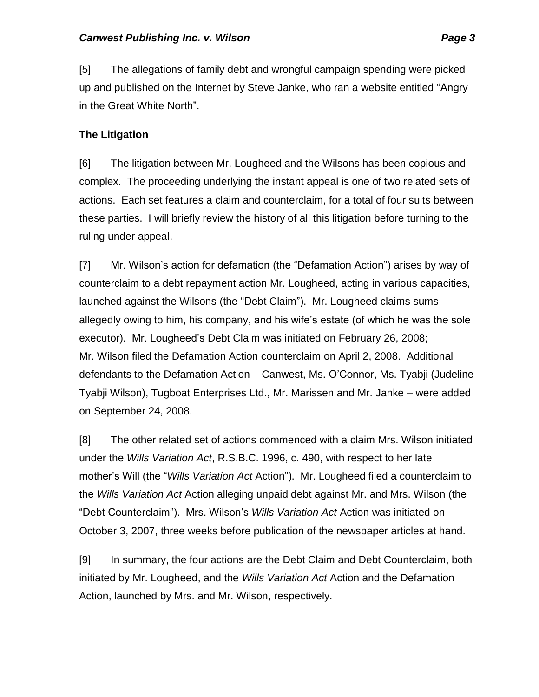[5] The allegations of family debt and wrongful campaign spending were picked up and published on the Internet by Steve Janke, who ran a website entitled "Angry in the Great White North".

#### **The Litigation**

[6] The litigation between Mr. Lougheed and the Wilsons has been copious and complex. The proceeding underlying the instant appeal is one of two related sets of actions. Each set features a claim and counterclaim, for a total of four suits between these parties. I will briefly review the history of all this litigation before turning to the ruling under appeal.

[7] Mr. Wilson's action for defamation (the "Defamation Action") arises by way of counterclaim to a debt repayment action Mr. Lougheed, acting in various capacities, launched against the Wilsons (the "Debt Claim"). Mr. Lougheed claims sums allegedly owing to him, his company, and his wife's estate (of which he was the sole executor). Mr. Lougheed's Debt Claim was initiated on February 26, 2008; Mr. Wilson filed the Defamation Action counterclaim on April 2, 2008. Additional defendants to the Defamation Action – Canwest, Ms. O'Connor, Ms. Tyabji (Judeline Tyabji Wilson), Tugboat Enterprises Ltd., Mr. Marissen and Mr. Janke – were added on September 24, 2008.

[8] The other related set of actions commenced with a claim Mrs. Wilson initiated under the *Wills Variation Act*, R.S.B.C. 1996, c. 490, with respect to her late mother's Will (the "*Wills Variation Act* Action"). Mr. Lougheed filed a counterclaim to the *Wills Variation Act* Action alleging unpaid debt against Mr. and Mrs. Wilson (the "Debt Counterclaim"). Mrs. Wilson's *Wills Variation Act* Action was initiated on October 3, 2007, three weeks before publication of the newspaper articles at hand.

[9] In summary, the four actions are the Debt Claim and Debt Counterclaim, both initiated by Mr. Lougheed, and the *Wills Variation Act* Action and the Defamation Action, launched by Mrs. and Mr. Wilson, respectively.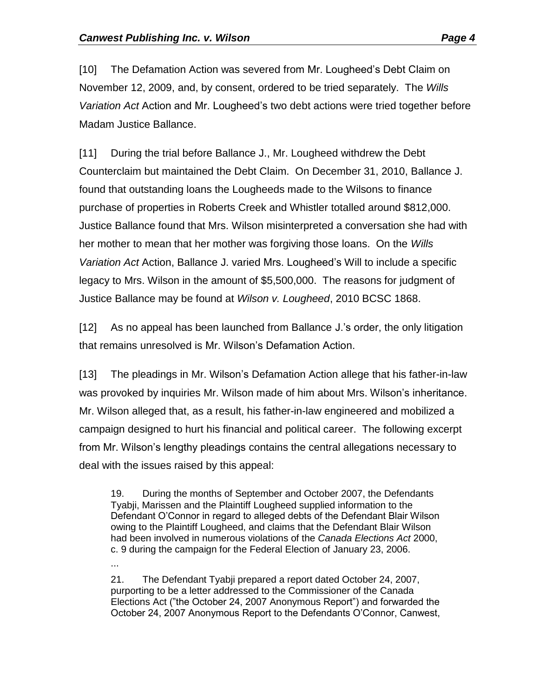[10] The Defamation Action was severed from Mr. Lougheed's Debt Claim on November 12, 2009, and, by consent, ordered to be tried separately. The *Wills Variation Act* Action and Mr. Lougheed's two debt actions were tried together before Madam Justice Ballance.

[11] During the trial before Ballance J., Mr. Lougheed withdrew the Debt Counterclaim but maintained the Debt Claim. On December 31, 2010, Ballance J. found that outstanding loans the Lougheeds made to the Wilsons to finance purchase of properties in Roberts Creek and Whistler totalled around \$812,000. Justice Ballance found that Mrs. Wilson misinterpreted a conversation she had with her mother to mean that her mother was forgiving those loans. On the *Wills Variation Act* Action, Ballance J. varied Mrs. Lougheed's Will to include a specific legacy to Mrs. Wilson in the amount of \$5,500,000. The reasons for judgment of Justice Ballance may be found at *Wilson v. Lougheed*, 2010 BCSC 1868.

[12] As no appeal has been launched from Ballance J.'s order, the only litigation that remains unresolved is Mr. Wilson's Defamation Action.

[13] The pleadings in Mr. Wilson's Defamation Action allege that his father-in-law was provoked by inquiries Mr. Wilson made of him about Mrs. Wilson's inheritance. Mr. Wilson alleged that, as a result, his father-in-law engineered and mobilized a campaign designed to hurt his financial and political career. The following excerpt from Mr. Wilson's lengthy pleadings contains the central allegations necessary to deal with the issues raised by this appeal:

19. During the months of September and October 2007, the Defendants Tyabji, Marissen and the Plaintiff Lougheed supplied information to the Defendant O'Connor in regard to alleged debts of the Defendant Blair Wilson owing to the Plaintiff Lougheed, and claims that the Defendant Blair Wilson had been involved in numerous violations of the *Canada Elections Act* 2000, c. 9 during the campaign for the Federal Election of January 23, 2006.

...

21. The Defendant Tyabji prepared a report dated October 24, 2007, purporting to be a letter addressed to the Commissioner of the Canada Elections Act ("the October 24, 2007 Anonymous Report") and forwarded the October 24, 2007 Anonymous Report to the Defendants O'Connor, Canwest,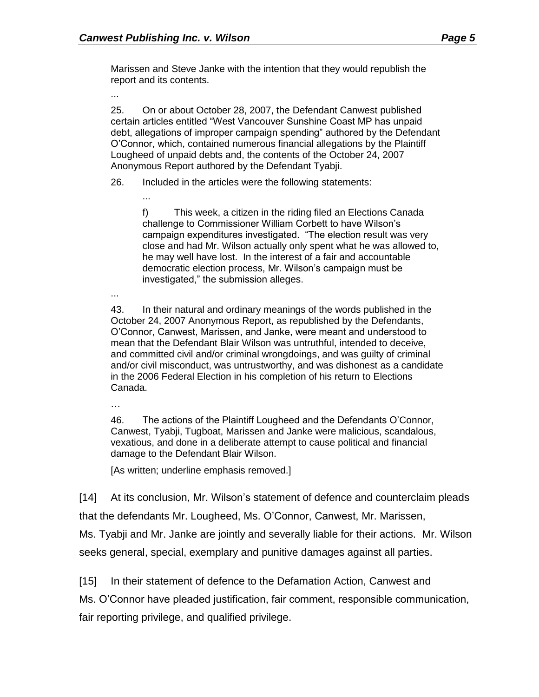...

Marissen and Steve Janke with the intention that they would republish the report and its contents.

...

25. On or about October 28, 2007, the Defendant Canwest published certain articles entitled "West Vancouver Sunshine Coast MP has unpaid debt, allegations of improper campaign spending" authored by the Defendant O'Connor, which, contained numerous financial allegations by the Plaintiff Lougheed of unpaid debts and, the contents of the October 24, 2007 Anonymous Report authored by the Defendant Tyabji.

26. Included in the articles were the following statements:

- f) This week, a citizen in the riding filed an Elections Canada challenge to Commissioner William Corbett to have Wilson's campaign expenditures investigated. "The election result was very close and had Mr. Wilson actually only spent what he was allowed to, he may well have lost. In the interest of a fair and accountable democratic election process, Mr. Wilson's campaign must be investigated," the submission alleges.
- ...

43. In their natural and ordinary meanings of the words published in the October 24, 2007 Anonymous Report, as republished by the Defendants, O'Connor, Canwest, Marissen, and Janke, were meant and understood to mean that the Defendant Blair Wilson was untruthful, intended to deceive, and committed civil and/or criminal wrongdoings, and was guilty of criminal and/or civil misconduct, was untrustworthy, and was dishonest as a candidate in the 2006 Federal Election in his completion of his return to Elections Canada.

…

46. The actions of the Plaintiff Lougheed and the Defendants O'Connor, Canwest, Tyabji, Tugboat, Marissen and Janke were malicious, scandalous, vexatious, and done in a deliberate attempt to cause political and financial damage to the Defendant Blair Wilson.

[As written; underline emphasis removed.]

[14] At its conclusion, Mr. Wilson's statement of defence and counterclaim pleads that the defendants Mr. Lougheed, Ms. O'Connor, Canwest, Mr. Marissen,

Ms. Tyabji and Mr. Janke are jointly and severally liable for their actions. Mr. Wilson seeks general, special, exemplary and punitive damages against all parties.

[15] In their statement of defence to the Defamation Action, Canwest and

Ms. O'Connor have pleaded justification, fair comment, responsible communication, fair reporting privilege, and qualified privilege.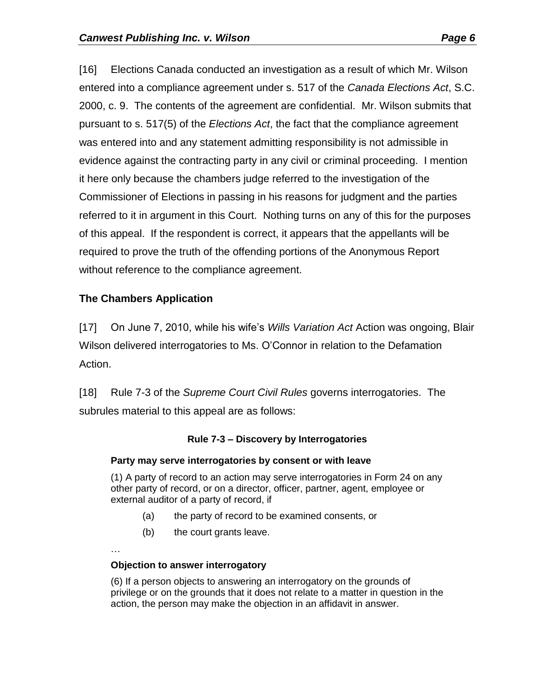[16] Elections Canada conducted an investigation as a result of which Mr. Wilson entered into a compliance agreement under s. 517 of the *Canada Elections Act*, S.C. 2000, c. 9. The contents of the agreement are confidential. Mr. Wilson submits that pursuant to s. 517(5) of the *Elections Act*, the fact that the compliance agreement was entered into and any statement admitting responsibility is not admissible in evidence against the contracting party in any civil or criminal proceeding. I mention it here only because the chambers judge referred to the investigation of the Commissioner of Elections in passing in his reasons for judgment and the parties referred to it in argument in this Court. Nothing turns on any of this for the purposes of this appeal. If the respondent is correct, it appears that the appellants will be required to prove the truth of the offending portions of the Anonymous Report without reference to the compliance agreement.

# **The Chambers Application**

[17] On June 7, 2010, while his wife's *Wills Variation Act* Action was ongoing, Blair Wilson delivered interrogatories to Ms. O'Connor in relation to the Defamation Action.

[18] Rule 7-3 of the *Supreme Court Civil Rules* governs interrogatories. The subrules material to this appeal are as follows:

#### **Rule 7-3 – Discovery by Interrogatories**

#### **Party may serve interrogatories by consent or with leave**

(1) A party of record to an action may serve interrogatories in Form 24 on any other party of record, or on a director, officer, partner, agent, employee or external auditor of a party of record, if

- (a) the party of record to be examined consents, or
- (b) the court grants leave.

…

#### **Objection to answer interrogatory**

(6) If a person objects to answering an interrogatory on the grounds of privilege or on the grounds that it does not relate to a matter in question in the action, the person may make the objection in an affidavit in answer.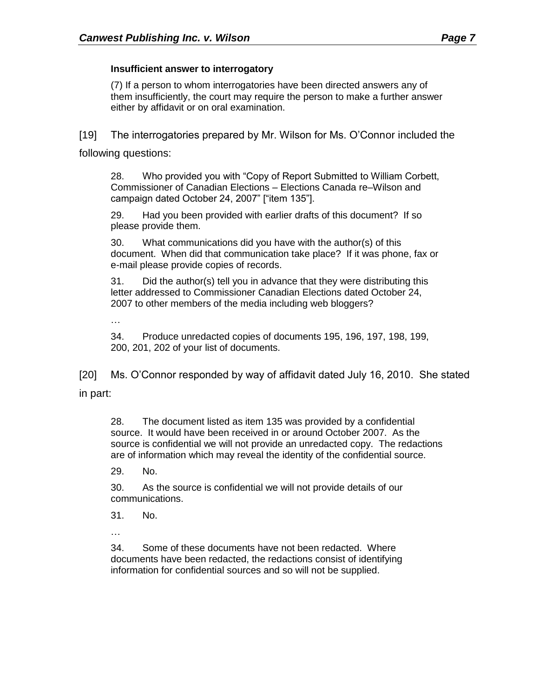(7) If a person to whom interrogatories have been directed answers any of them insufficiently, the court may require the person to make a further answer either by affidavit or on oral examination.

[19] The interrogatories prepared by Mr. Wilson for Ms. O'Connor included the

following questions:

28. Who provided you with "Copy of Report Submitted to William Corbett, Commissioner of Canadian Elections – Elections Canada re–Wilson and campaign dated October 24, 2007" ["item 135"].

29. Had you been provided with earlier drafts of this document? If so please provide them.

30. What communications did you have with the author(s) of this document. When did that communication take place? If it was phone, fax or e-mail please provide copies of records.

31. Did the author(s) tell you in advance that they were distributing this letter addressed to Commissioner Canadian Elections dated October 24, 2007 to other members of the media including web bloggers?

…

34. Produce unredacted copies of documents 195, 196, 197, 198, 199, 200, 201, 202 of your list of documents.

[20] Ms. O'Connor responded by way of affidavit dated July 16, 2010. She stated in part:

28. The document listed as item 135 was provided by a confidential source. It would have been received in or around October 2007. As the source is confidential we will not provide an unredacted copy. The redactions are of information which may reveal the identity of the confidential source.

29. No.

30. As the source is confidential we will not provide details of our communications.

31. No.

…

34. Some of these documents have not been redacted. Where documents have been redacted, the redactions consist of identifying information for confidential sources and so will not be supplied.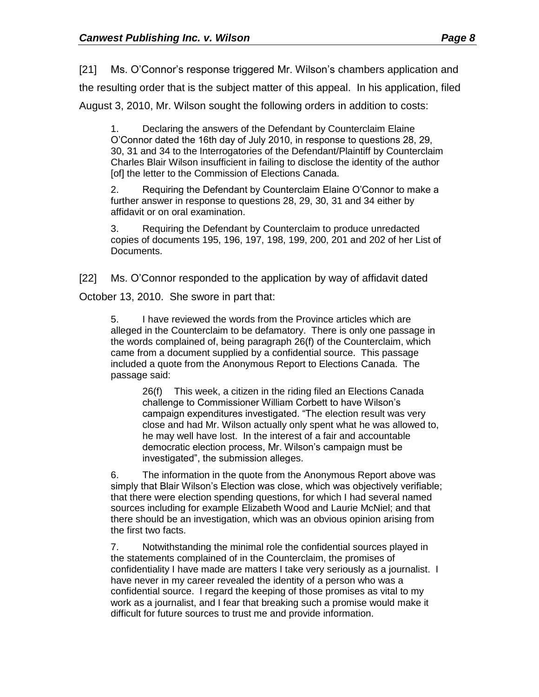[21] Ms. O'Connor's response triggered Mr. Wilson's chambers application and the resulting order that is the subject matter of this appeal. In his application, filed August 3, 2010, Mr. Wilson sought the following orders in addition to costs:

1. Declaring the answers of the Defendant by Counterclaim Elaine O'Connor dated the 16th day of July 2010, in response to questions 28, 29, 30, 31 and 34 to the Interrogatories of the Defendant/Plaintiff by Counterclaim Charles Blair Wilson insufficient in failing to disclose the identity of the author [of] the letter to the Commission of Elections Canada.

2. Requiring the Defendant by Counterclaim Elaine O'Connor to make a further answer in response to questions 28, 29, 30, 31 and 34 either by affidavit or on oral examination.

3. Requiring the Defendant by Counterclaim to produce unredacted copies of documents 195, 196, 197, 198, 199, 200, 201 and 202 of her List of Documents.

[22] Ms. O'Connor responded to the application by way of affidavit dated

October 13, 2010. She swore in part that:

5. I have reviewed the words from the Province articles which are alleged in the Counterclaim to be defamatory. There is only one passage in the words complained of, being paragraph 26(f) of the Counterclaim, which came from a document supplied by a confidential source. This passage included a quote from the Anonymous Report to Elections Canada. The passage said:

26(f) This week, a citizen in the riding filed an Elections Canada challenge to Commissioner William Corbett to have Wilson's campaign expenditures investigated. "The election result was very close and had Mr. Wilson actually only spent what he was allowed to, he may well have lost. In the interest of a fair and accountable democratic election process, Mr. Wilson's campaign must be investigated", the submission alleges.

6. The information in the quote from the Anonymous Report above was simply that Blair Wilson's Election was close, which was objectively verifiable; that there were election spending questions, for which I had several named sources including for example Elizabeth Wood and Laurie McNiel; and that there should be an investigation, which was an obvious opinion arising from the first two facts.

7. Notwithstanding the minimal role the confidential sources played in the statements complained of in the Counterclaim, the promises of confidentiality I have made are matters I take very seriously as a journalist. I have never in my career revealed the identity of a person who was a confidential source. I regard the keeping of those promises as vital to my work as a journalist, and I fear that breaking such a promise would make it difficult for future sources to trust me and provide information.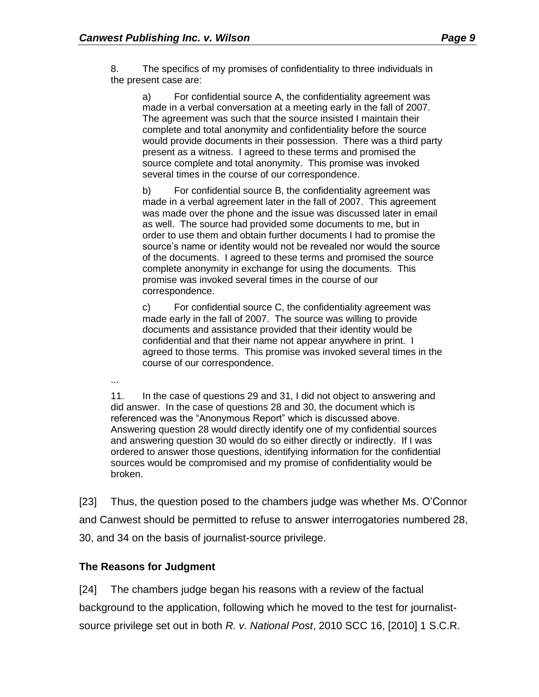8. The specifics of my promises of confidentiality to three individuals in the present case are:

a) For confidential source A, the confidentiality agreement was made in a verbal conversation at a meeting early in the fall of 2007. The agreement was such that the source insisted I maintain their complete and total anonymity and confidentiality before the source would provide documents in their possession. There was a third party present as a witness. I agreed to these terms and promised the source complete and total anonymity. This promise was invoked several times in the course of our correspondence.

b) For confidential source B, the confidentiality agreement was made in a verbal agreement later in the fall of 2007. This agreement was made over the phone and the issue was discussed later in email as well. The source had provided some documents to me, but in order to use them and obtain further documents I had to promise the source's name or identity would not be revealed nor would the source of the documents. I agreed to these terms and promised the source complete anonymity in exchange for using the documents. This promise was invoked several times in the course of our correspondence.

c) For confidential source C, the confidentiality agreement was made early in the fall of 2007. The source was willing to provide documents and assistance provided that their identity would be confidential and that their name not appear anywhere in print. I agreed to those terms. This promise was invoked several times in the course of our correspondence.

...

11. In the case of questions 29 and 31, I did not object to answering and did answer. In the case of questions 28 and 30, the document which is referenced was the "Anonymous Report" which is discussed above. Answering question 28 would directly identify one of my confidential sources and answering question 30 would do so either directly or indirectly. If I was ordered to answer those questions, identifying information for the confidential sources would be compromised and my promise of confidentiality would be broken.

[23] Thus, the question posed to the chambers judge was whether Ms. O'Connor and Canwest should be permitted to refuse to answer interrogatories numbered 28, 30, and 34 on the basis of journalist-source privilege.

## **The Reasons for Judgment**

[24] The chambers judge began his reasons with a review of the factual background to the application, following which he moved to the test for journalistsource privilege set out in both *R. v. National Post*, 2010 SCC 16, [2010] 1 S.C.R.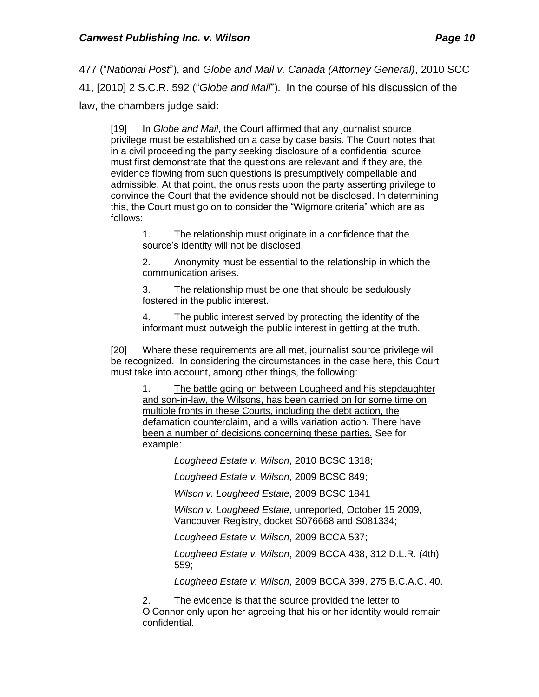477 ("*National Post*"), and *Globe and Mail v. Canada (Attorney General)*, 2010 SCC 41, [2010] 2 S.C.R. 592 ("*Globe and Mail*"). In the course of his discussion of the law, the chambers judge said:

[19] In *Globe and Mail*, the Court affirmed that any journalist source privilege must be established on a case by case basis. The Court notes that in a civil proceeding the party seeking disclosure of a confidential source must first demonstrate that the questions are relevant and if they are, the evidence flowing from such questions is presumptively compellable and admissible. At that point, the onus rests upon the party asserting privilege to convince the Court that the evidence should not be disclosed. In determining this, the Court must go on to consider the "Wigmore criteria" which are as follows:

1. The relationship must originate in a confidence that the source's identity will not be disclosed.

2. Anonymity must be essential to the relationship in which the communication arises.

3. The relationship must be one that should be sedulously fostered in the public interest.

4. The public interest served by protecting the identity of the informant must outweigh the public interest in getting at the truth.

[20] Where these requirements are all met, journalist source privilege will be recognized. In considering the circumstances in the case here, this Court must take into account, among other things, the following:

1. The battle going on between Lougheed and his stepdaughter and son-in-law, the Wilsons, has been carried on for some time on multiple fronts in these Courts, including the debt action, the defamation counterclaim, and a wills variation action. There have been a number of decisions concerning these parties. See for example:

*Lougheed Estate v. Wilson*, 2010 BCSC 1318;

*Lougheed Estate v. Wilson*, 2009 BCSC 849;

*Wilson v. Lougheed Estate*, 2009 BCSC 1841

*Wilson v. Lougheed Estate*, unreported, October 15 2009, Vancouver Registry, docket S076668 and S081334;

*Lougheed Estate v. Wilson*, 2009 BCCA 537;

*Lougheed Estate v. Wilson*, 2009 BCCA 438, 312 D.L.R. (4th) 559;

*Lougheed Estate v. Wilson*, 2009 BCCA 399, 275 B.C.A.C. 40.

2. The evidence is that the source provided the letter to O'Connor only upon her agreeing that his or her identity would remain confidential.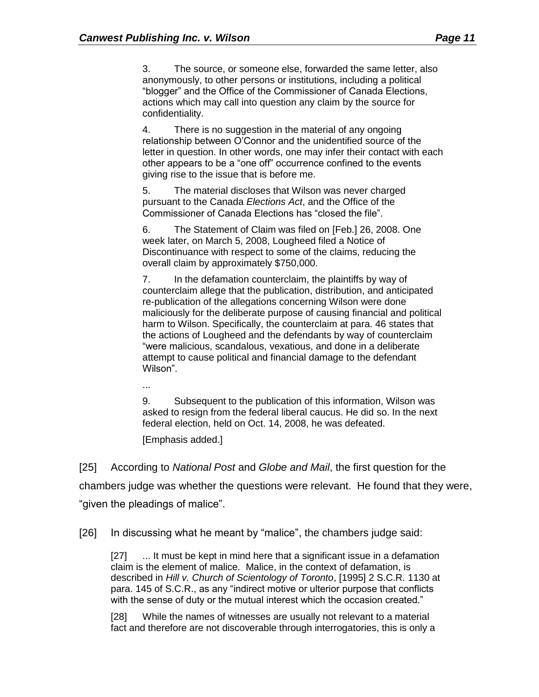3. The source, or someone else, forwarded the same letter, also anonymously, to other persons or institutions, including a political "blogger" and the Office of the Commissioner of Canada Elections, actions which may call into question any claim by the source for confidentiality.

4. There is no suggestion in the material of any ongoing relationship between O'Connor and the unidentified source of the letter in question. In other words, one may infer their contact with each other appears to be a "one off" occurrence confined to the events giving rise to the issue that is before me.

5. The material discloses that Wilson was never charged pursuant to the Canada *Elections Act*, and the Office of the Commissioner of Canada Elections has "closed the file".

6. The Statement of Claim was filed on [Feb.] 26, 2008. One week later, on March 5, 2008, Lougheed filed a Notice of Discontinuance with respect to some of the claims, reducing the overall claim by approximately \$750,000.

7. In the defamation counterclaim, the plaintiffs by way of counterclaim allege that the publication, distribution, and anticipated re-publication of the allegations concerning Wilson were done maliciously for the deliberate purpose of causing financial and political harm to Wilson. Specifically, the counterclaim at para. 46 states that the actions of Lougheed and the defendants by way of counterclaim "were malicious, scandalous, vexatious, and done in a deliberate attempt to cause political and financial damage to the defendant Wilson".

...

9. Subsequent to the publication of this information, Wilson was asked to resign from the federal liberal caucus. He did so. In the next federal election, held on Oct. 14, 2008, he was defeated.

[Emphasis added.]

[25] According to *National Post* and *Globe and Mail*, the first question for the chambers judge was whether the questions were relevant. He found that they were, "given the pleadings of malice".

[26] In discussing what he meant by "malice", the chambers judge said:

[27] ... It must be kept in mind here that a significant issue in a defamation claim is the element of malice. Malice, in the context of defamation, is described in *Hill v. Church of Scientology of Toronto*, [1995] 2 S.C.R. 1130 at para. 145 of S.C.R., as any "indirect motive or ulterior purpose that conflicts with the sense of duty or the mutual interest which the occasion created."

[28] While the names of witnesses are usually not relevant to a material fact and therefore are not discoverable through interrogatories, this is only a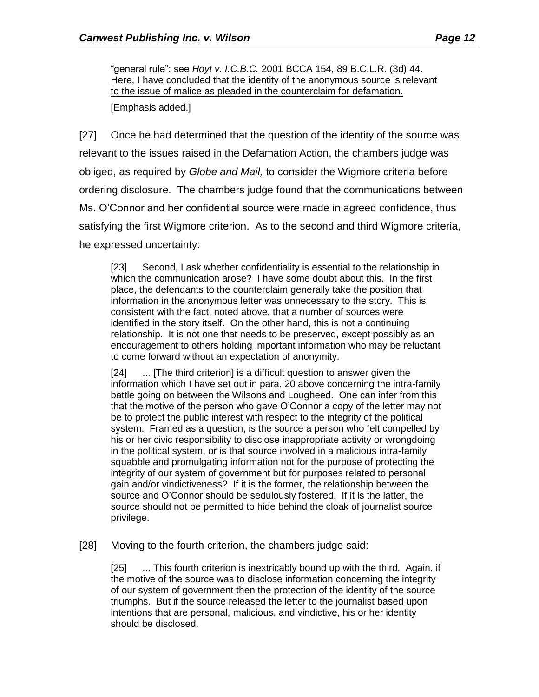"general rule": see *Hoyt v. I.C.B.C.* 2001 BCCA 154, 89 B.C.L.R. (3d) 44. Here, I have concluded that the identity of the anonymous source is relevant to the issue of malice as pleaded in the counterclaim for defamation.

[Emphasis added.]

[27] Once he had determined that the question of the identity of the source was relevant to the issues raised in the Defamation Action, the chambers judge was obliged, as required by *Globe and Mail,* to consider the Wigmore criteria before ordering disclosure. The chambers judge found that the communications between Ms. O'Connor and her confidential source were made in agreed confidence, thus satisfying the first Wigmore criterion. As to the second and third Wigmore criteria, he expressed uncertainty:

[23] Second, I ask whether confidentiality is essential to the relationship in which the communication arose? I have some doubt about this. In the first place, the defendants to the counterclaim generally take the position that information in the anonymous letter was unnecessary to the story. This is consistent with the fact, noted above, that a number of sources were identified in the story itself. On the other hand, this is not a continuing relationship. It is not one that needs to be preserved, except possibly as an encouragement to others holding important information who may be reluctant to come forward without an expectation of anonymity.

[24] ... [The third criterion] is a difficult question to answer given the information which I have set out in para. 20 above concerning the intra-family battle going on between the Wilsons and Lougheed. One can infer from this that the motive of the person who gave O'Connor a copy of the letter may not be to protect the public interest with respect to the integrity of the political system. Framed as a question, is the source a person who felt compelled by his or her civic responsibility to disclose inappropriate activity or wrongdoing in the political system, or is that source involved in a malicious intra-family squabble and promulgating information not for the purpose of protecting the integrity of our system of government but for purposes related to personal gain and/or vindictiveness? If it is the former, the relationship between the source and O'Connor should be sedulously fostered. If it is the latter, the source should not be permitted to hide behind the cloak of journalist source privilege.

[28] Moving to the fourth criterion, the chambers judge said:

[25] ... This fourth criterion is inextricably bound up with the third. Again, if the motive of the source was to disclose information concerning the integrity of our system of government then the protection of the identity of the source triumphs. But if the source released the letter to the journalist based upon intentions that are personal, malicious, and vindictive, his or her identity should be disclosed.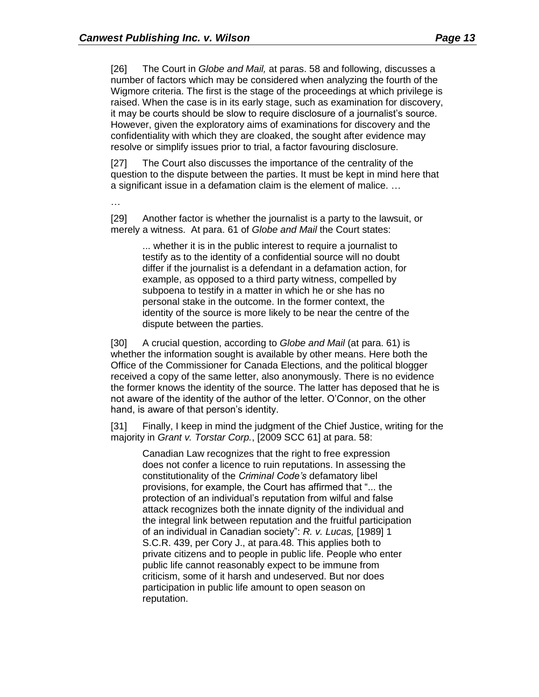[26] The Court in *Globe and Mail,* at paras. 58 and following, discusses a number of factors which may be considered when analyzing the fourth of the Wigmore criteria. The first is the stage of the proceedings at which privilege is raised. When the case is in its early stage, such as examination for discovery, it may be courts should be slow to require disclosure of a journalist's source. However, given the exploratory aims of examinations for discovery and the confidentiality with which they are cloaked, the sought after evidence may resolve or simplify issues prior to trial, a factor favouring disclosure.

[27] The Court also discusses the importance of the centrality of the question to the dispute between the parties. It must be kept in mind here that a significant issue in a defamation claim is the element of malice. …

…

[29] Another factor is whether the journalist is a party to the lawsuit, or merely a witness. At para. 61 of *Globe and Mail* the Court states:

> ... whether it is in the public interest to require a journalist to testify as to the identity of a confidential source will no doubt differ if the journalist is a defendant in a defamation action, for example, as opposed to a third party witness, compelled by subpoena to testify in a matter in which he or she has no personal stake in the outcome. In the former context, the identity of the source is more likely to be near the centre of the dispute between the parties.

[30] A crucial question, according to *Globe and Mail* (at para. 61) is whether the information sought is available by other means. Here both the Office of the Commissioner for Canada Elections, and the political blogger received a copy of the same letter, also anonymously. There is no evidence the former knows the identity of the source. The latter has deposed that he is not aware of the identity of the author of the letter. O'Connor, on the other hand, is aware of that person's identity.

[31] Finally, I keep in mind the judgment of the Chief Justice, writing for the majority in *Grant v. Torstar Corp.*, [2009 SCC 61] at para. 58:

Canadian Law recognizes that the right to free expression does not confer a licence to ruin reputations. In assessing the constitutionality of the *Criminal Code's* defamatory libel provisions, for example, the Court has affirmed that "... the protection of an individual's reputation from wilful and false attack recognizes both the innate dignity of the individual and the integral link between reputation and the fruitful participation of an individual in Canadian society": *R. v. Lucas,* [1989] 1 S.C.R. 439, per Cory J., at para.48. This applies both to private citizens and to people in public life. People who enter public life cannot reasonably expect to be immune from criticism, some of it harsh and undeserved. But nor does participation in public life amount to open season on reputation.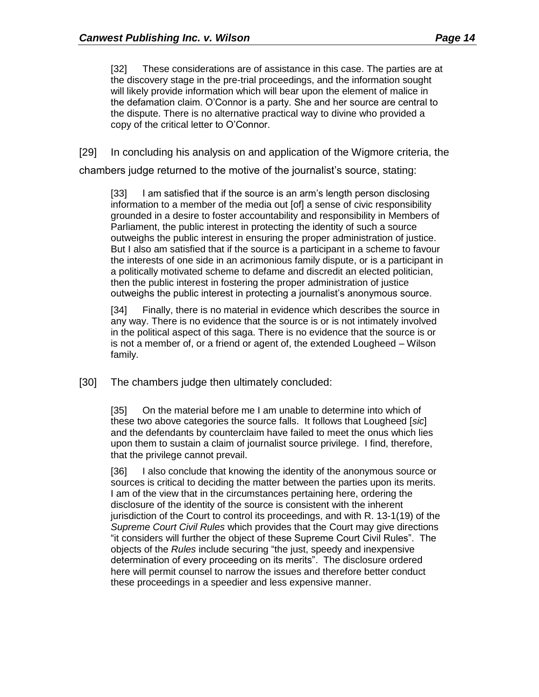[32] These considerations are of assistance in this case. The parties are at the discovery stage in the pre-trial proceedings, and the information sought will likely provide information which will bear upon the element of malice in the defamation claim. O'Connor is a party. She and her source are central to the dispute. There is no alternative practical way to divine who provided a copy of the critical letter to O'Connor.

[29] In concluding his analysis on and application of the Wigmore criteria, the

chambers judge returned to the motive of the journalist's source, stating:

[33] I am satisfied that if the source is an arm's length person disclosing information to a member of the media out [of] a sense of civic responsibility grounded in a desire to foster accountability and responsibility in Members of Parliament, the public interest in protecting the identity of such a source outweighs the public interest in ensuring the proper administration of justice. But I also am satisfied that if the source is a participant in a scheme to favour the interests of one side in an acrimonious family dispute, or is a participant in a politically motivated scheme to defame and discredit an elected politician, then the public interest in fostering the proper administration of justice outweighs the public interest in protecting a journalist's anonymous source.

[34] Finally, there is no material in evidence which describes the source in any way. There is no evidence that the source is or is not intimately involved in the political aspect of this saga. There is no evidence that the source is or is not a member of, or a friend or agent of, the extended Lougheed – Wilson family.

[30] The chambers judge then ultimately concluded:

[35] On the material before me I am unable to determine into which of these two above categories the source falls. It follows that Lougheed [*sic*] and the defendants by counterclaim have failed to meet the onus which lies upon them to sustain a claim of journalist source privilege. I find, therefore, that the privilege cannot prevail.

[36] I also conclude that knowing the identity of the anonymous source or sources is critical to deciding the matter between the parties upon its merits. I am of the view that in the circumstances pertaining here, ordering the disclosure of the identity of the source is consistent with the inherent jurisdiction of the Court to control its proceedings, and with R. 13-1(19) of the *Supreme Court Civil Rules* which provides that the Court may give directions "it considers will further the object of these Supreme Court Civil Rules". The objects of the *Rules* include securing "the just, speedy and inexpensive determination of every proceeding on its merits". The disclosure ordered here will permit counsel to narrow the issues and therefore better conduct these proceedings in a speedier and less expensive manner.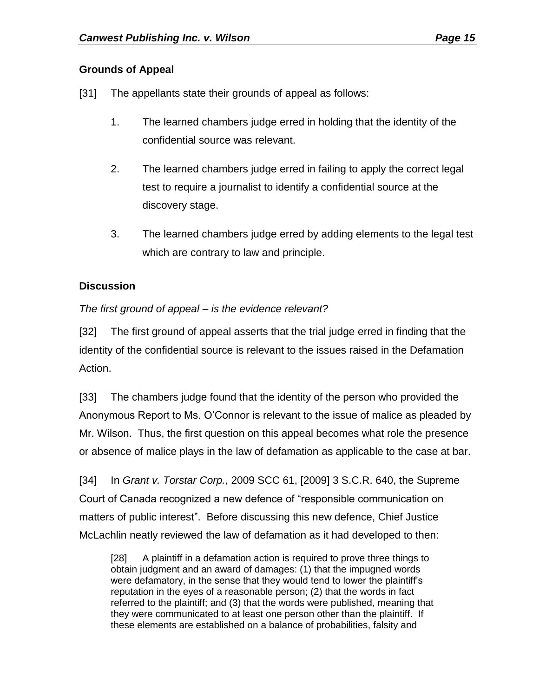## **Grounds of Appeal**

- [31] The appellants state their grounds of appeal as follows:
	- 1. The learned chambers judge erred in holding that the identity of the confidential source was relevant.
	- 2. The learned chambers judge erred in failing to apply the correct legal test to require a journalist to identify a confidential source at the discovery stage.
	- 3. The learned chambers judge erred by adding elements to the legal test which are contrary to law and principle.

## **Discussion**

## *The first ground of appeal – is the evidence relevant?*

[32] The first ground of appeal asserts that the trial judge erred in finding that the identity of the confidential source is relevant to the issues raised in the Defamation Action.

[33] The chambers judge found that the identity of the person who provided the Anonymous Report to Ms. O'Connor is relevant to the issue of malice as pleaded by Mr. Wilson. Thus, the first question on this appeal becomes what role the presence or absence of malice plays in the law of defamation as applicable to the case at bar.

[34] In *Grant v. Torstar Corp.*, 2009 SCC 61, [2009] 3 S.C.R. 640, the Supreme Court of Canada recognized a new defence of "responsible communication on matters of public interest". Before discussing this new defence, Chief Justice McLachlin neatly reviewed the law of defamation as it had developed to then:

[28] A plaintiff in a defamation action is required to prove three things to obtain judgment and an award of damages: (1) that the impugned words were defamatory, in the sense that they would tend to lower the plaintiff's reputation in the eyes of a reasonable person; (2) that the words in fact referred to the plaintiff; and (3) that the words were published, meaning that they were communicated to at least one person other than the plaintiff. If these elements are established on a balance of probabilities, falsity and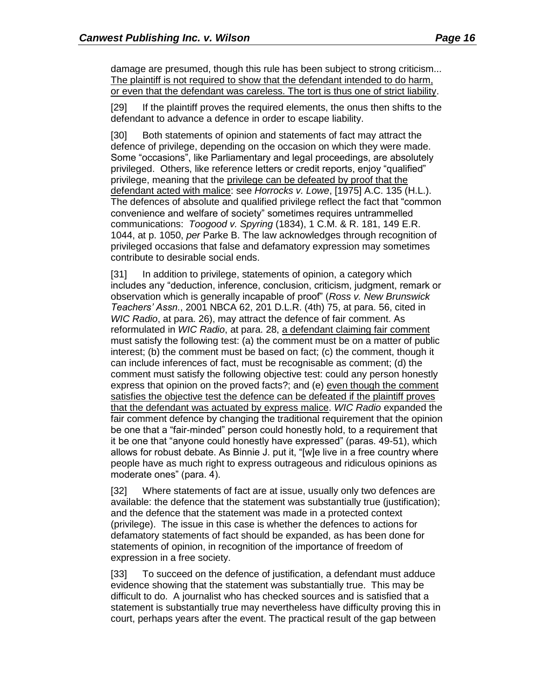damage are presumed, though this rule has been subject to strong criticism... The plaintiff is not required to show that the defendant intended to do harm, or even that the defendant was careless. The tort is thus one of strict liability.

[29] If the plaintiff proves the required elements, the onus then shifts to the defendant to advance a defence in order to escape liability.

[30] Both statements of opinion and statements of fact may attract the defence of privilege, depending on the occasion on which they were made. Some "occasions", like Parliamentary and legal proceedings, are absolutely privileged. Others, like reference letters or credit reports, enjoy "qualified" privilege, meaning that the privilege can be defeated by proof that the defendant acted with malice: see *Horrocks v. Lowe*, [1975] A.C. 135 (H.L.). The defences of absolute and qualified privilege reflect the fact that "common convenience and welfare of society" sometimes requires untrammelled communications: *Toogood v. Spyring* (1834), 1 C.M. & R. 181, 149 E.R. 1044, at p. 1050, *per* Parke B. The law acknowledges through recognition of privileged occasions that false and defamatory expression may sometimes contribute to desirable social ends.

[31] In addition to privilege, statements of opinion, a category which includes any "deduction, inference, conclusion, criticism, judgment, remark or observation which is generally incapable of proof" (*Ross v. New Brunswick Teachers' Assn.*, 2001 NBCA 62, 201 D.L.R. (4th) 75, at para. 56, cited in *WIC Radio*, at para. 26), may attract the defence of fair comment. As reformulated in *WIC Radio*, at para. 28, a defendant claiming fair comment must satisfy the following test: (a) the comment must be on a matter of public interest; (b) the comment must be based on fact; (c) the comment, though it can include inferences of fact, must be recognisable as comment; (d) the comment must satisfy the following objective test: could any person honestly express that opinion on the proved facts?; and (e) even though the comment satisfies the objective test the defence can be defeated if the plaintiff proves that the defendant was actuated by express malice. *WIC Radio* expanded the fair comment defence by changing the traditional requirement that the opinion be one that a "fair-minded" person could honestly hold, to a requirement that it be one that "anyone could honestly have expressed" (paras. 49-51), which allows for robust debate. As Binnie J. put it, "[w]e live in a free country where people have as much right to express outrageous and ridiculous opinions as moderate ones" (para. 4).

[32] Where statements of fact are at issue, usually only two defences are available: the defence that the statement was substantially true (justification); and the defence that the statement was made in a protected context (privilege). The issue in this case is whether the defences to actions for defamatory statements of fact should be expanded, as has been done for statements of opinion, in recognition of the importance of freedom of expression in a free society.

[33] To succeed on the defence of justification, a defendant must adduce evidence showing that the statement was substantially true. This may be difficult to do. A journalist who has checked sources and is satisfied that a statement is substantially true may nevertheless have difficulty proving this in court, perhaps years after the event. The practical result of the gap between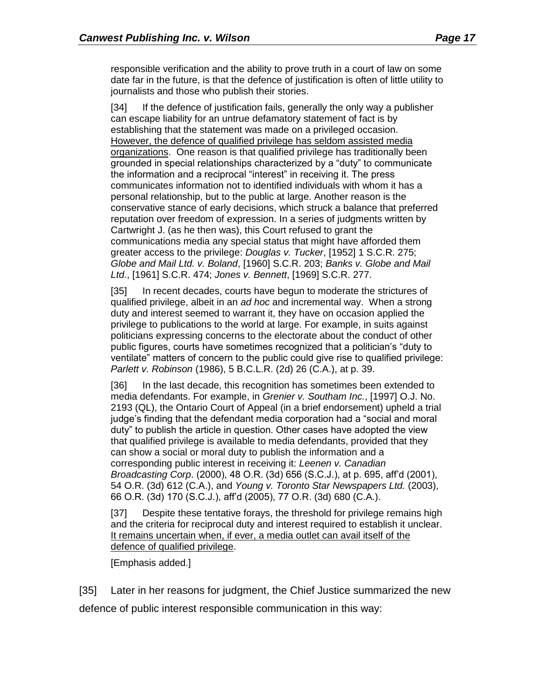responsible verification and the ability to prove truth in a court of law on some date far in the future, is that the defence of justification is often of little utility to journalists and those who publish their stories.

[34] If the defence of justification fails, generally the only way a publisher can escape liability for an untrue defamatory statement of fact is by establishing that the statement was made on a privileged occasion. However, the defence of qualified privilege has seldom assisted media organizations. One reason is that qualified privilege has traditionally been grounded in special relationships characterized by a "duty" to communicate the information and a reciprocal "interest" in receiving it. The press communicates information not to identified individuals with whom it has a personal relationship, but to the public at large. Another reason is the conservative stance of early decisions, which struck a balance that preferred reputation over freedom of expression. In a series of judgments written by Cartwright J. (as he then was), this Court refused to grant the communications media any special status that might have afforded them greater access to the privilege: *Douglas v. Tucker*, [1952] 1 S.C.R. 275; *Globe and Mail Ltd. v. Boland*, [1960] S.C.R. 203; *Banks v. Globe and Mail Ltd.*, [1961] S.C.R. 474; *Jones v. Bennett*, [1969] S.C.R. 277.

[35] In recent decades, courts have begun to moderate the strictures of qualified privilege, albeit in an *ad hoc* and incremental way. When a strong duty and interest seemed to warrant it, they have on occasion applied the privilege to publications to the world at large. For example, in suits against politicians expressing concerns to the electorate about the conduct of other public figures, courts have sometimes recognized that a politician's "duty to ventilate" matters of concern to the public could give rise to qualified privilege: *Parlett v. Robinson* (1986), 5 B.C.L.R. (2d) 26 (C.A.), at p. 39.

[36] In the last decade, this recognition has sometimes been extended to media defendants. For example, in *Grenier v. Southam Inc.*, [1997] O.J. No. 2193 (QL), the Ontario Court of Appeal (in a brief endorsement) upheld a trial judge's finding that the defendant media corporation had a "social and moral duty" to publish the article in question. Other cases have adopted the view that qualified privilege is available to media defendants, provided that they can show a social or moral duty to publish the information and a corresponding public interest in receiving it: *Leenen v. Canadian Broadcasting Corp*. (2000), 48 O.R. (3d) 656 (S.C.J.), at p. 695, aff'd (2001), 54 O.R. (3d) 612 (C.A.), and *Young v. Toronto Star Newspapers Ltd.* (2003), 66 O.R. (3d) 170 (S.C.J.), aff'd (2005), 77 O.R. (3d) 680 (C.A.).

[37] Despite these tentative forays, the threshold for privilege remains high and the criteria for reciprocal duty and interest required to establish it unclear. It remains uncertain when, if ever, a media outlet can avail itself of the defence of qualified privilege.

[Emphasis added.]

[35] Later in her reasons for judgment, the Chief Justice summarized the new defence of public interest responsible communication in this way: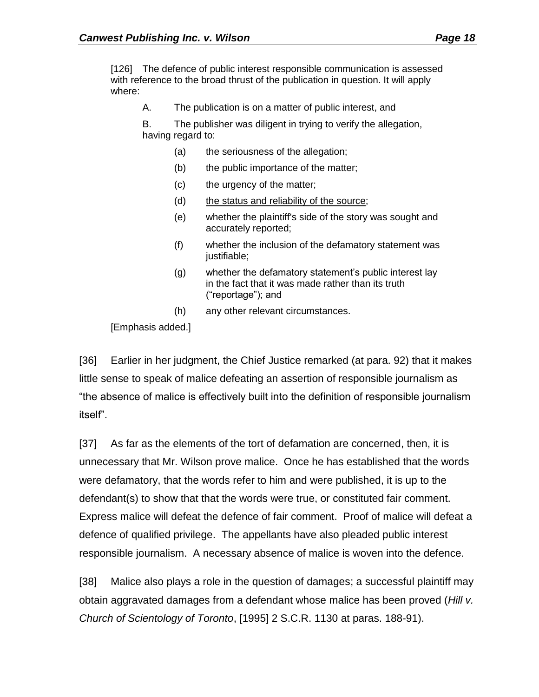[126] The defence of public interest responsible communication is assessed with reference to the broad thrust of the publication in question. It will apply where:

A. The publication is on a matter of public interest, and

B. The publisher was diligent in trying to verify the allegation, having regard to:

- (a) the seriousness of the allegation;
- (b) the public importance of the matter;
- (c) the urgency of the matter;
- (d) the status and reliability of the source;
- (e) whether the plaintiff's side of the story was sought and accurately reported;
- (f) whether the inclusion of the defamatory statement was justifiable;
- (g) whether the defamatory statement's public interest lay in the fact that it was made rather than its truth ("reportage"); and
- (h) any other relevant circumstances.

[Emphasis added.]

[36] Earlier in her judgment, the Chief Justice remarked (at para. 92) that it makes little sense to speak of malice defeating an assertion of responsible journalism as "the absence of malice is effectively built into the definition of responsible journalism itself".

[37] As far as the elements of the tort of defamation are concerned, then, it is unnecessary that Mr. Wilson prove malice. Once he has established that the words were defamatory, that the words refer to him and were published, it is up to the defendant(s) to show that that the words were true, or constituted fair comment. Express malice will defeat the defence of fair comment. Proof of malice will defeat a defence of qualified privilege. The appellants have also pleaded public interest responsible journalism. A necessary absence of malice is woven into the defence.

[38] Malice also plays a role in the question of damages; a successful plaintiff may obtain aggravated damages from a defendant whose malice has been proved (*Hill v. Church of Scientology of Toronto*, [1995] 2 S.C.R. 1130 at paras. 188-91).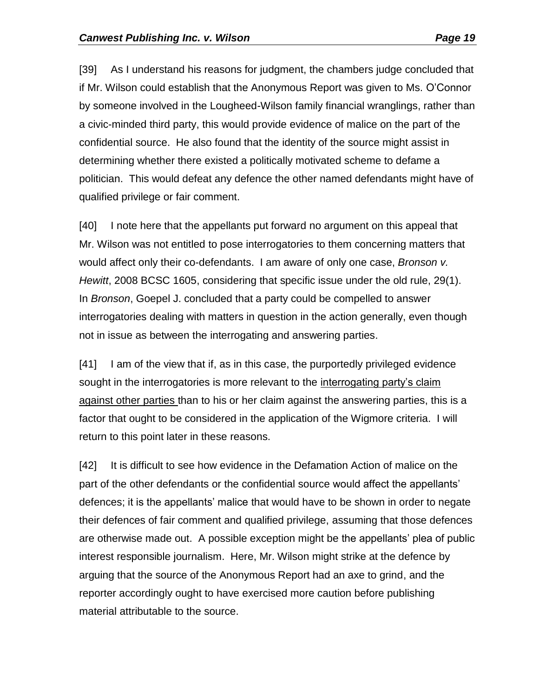[39] As I understand his reasons for judgment, the chambers judge concluded that if Mr. Wilson could establish that the Anonymous Report was given to Ms. O'Connor by someone involved in the Lougheed-Wilson family financial wranglings, rather than a civic-minded third party, this would provide evidence of malice on the part of the confidential source. He also found that the identity of the source might assist in determining whether there existed a politically motivated scheme to defame a politician. This would defeat any defence the other named defendants might have of qualified privilege or fair comment.

[40] I note here that the appellants put forward no argument on this appeal that Mr. Wilson was not entitled to pose interrogatories to them concerning matters that would affect only their co-defendants. I am aware of only one case, *Bronson v. Hewitt*, 2008 BCSC 1605, considering that specific issue under the old rule, 29(1). In *Bronson*, Goepel J. concluded that a party could be compelled to answer interrogatories dealing with matters in question in the action generally, even though not in issue as between the interrogating and answering parties.

[41] I am of the view that if, as in this case, the purportedly privileged evidence sought in the interrogatories is more relevant to the interrogating party's claim against other parties than to his or her claim against the answering parties, this is a factor that ought to be considered in the application of the Wigmore criteria. I will return to this point later in these reasons.

[42] It is difficult to see how evidence in the Defamation Action of malice on the part of the other defendants or the confidential source would affect the appellants' defences; it is the appellants' malice that would have to be shown in order to negate their defences of fair comment and qualified privilege, assuming that those defences are otherwise made out. A possible exception might be the appellants' plea of public interest responsible journalism. Here, Mr. Wilson might strike at the defence by arguing that the source of the Anonymous Report had an axe to grind, and the reporter accordingly ought to have exercised more caution before publishing material attributable to the source.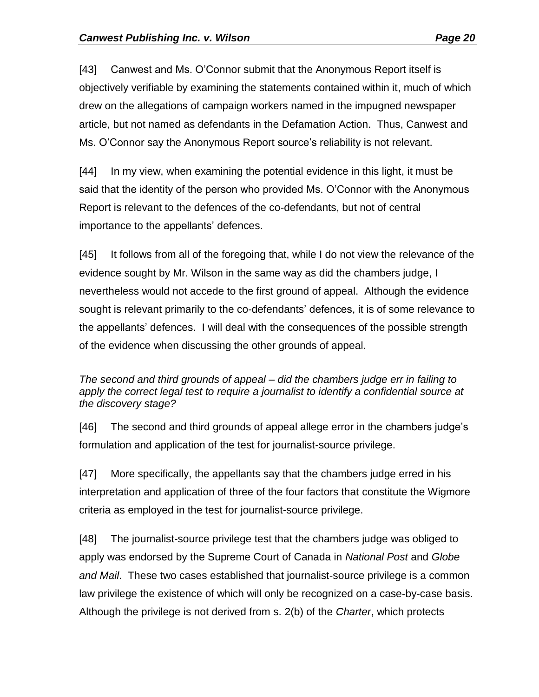[43] Canwest and Ms. O'Connor submit that the Anonymous Report itself is objectively verifiable by examining the statements contained within it, much of which drew on the allegations of campaign workers named in the impugned newspaper article, but not named as defendants in the Defamation Action. Thus, Canwest and Ms. O'Connor say the Anonymous Report source's reliability is not relevant.

[44] In my view, when examining the potential evidence in this light, it must be said that the identity of the person who provided Ms. O'Connor with the Anonymous Report is relevant to the defences of the co-defendants, but not of central importance to the appellants' defences.

[45] It follows from all of the foregoing that, while I do not view the relevance of the evidence sought by Mr. Wilson in the same way as did the chambers judge, I nevertheless would not accede to the first ground of appeal. Although the evidence sought is relevant primarily to the co-defendants' defences, it is of some relevance to the appellants' defences. I will deal with the consequences of the possible strength of the evidence when discussing the other grounds of appeal.

## *The second and third grounds of appeal ‒ did the chambers judge err in failing to apply the correct legal test to require a journalist to identify a confidential source at the discovery stage?*

[46] The second and third grounds of appeal allege error in the chambers judge's formulation and application of the test for journalist-source privilege.

[47] More specifically, the appellants say that the chambers judge erred in his interpretation and application of three of the four factors that constitute the Wigmore criteria as employed in the test for journalist-source privilege.

[48] The journalist-source privilege test that the chambers judge was obliged to apply was endorsed by the Supreme Court of Canada in *National Post* and *Globe and Mail*. These two cases established that journalist-source privilege is a common law privilege the existence of which will only be recognized on a case-by-case basis. Although the privilege is not derived from s. 2(b) of the *Charter*, which protects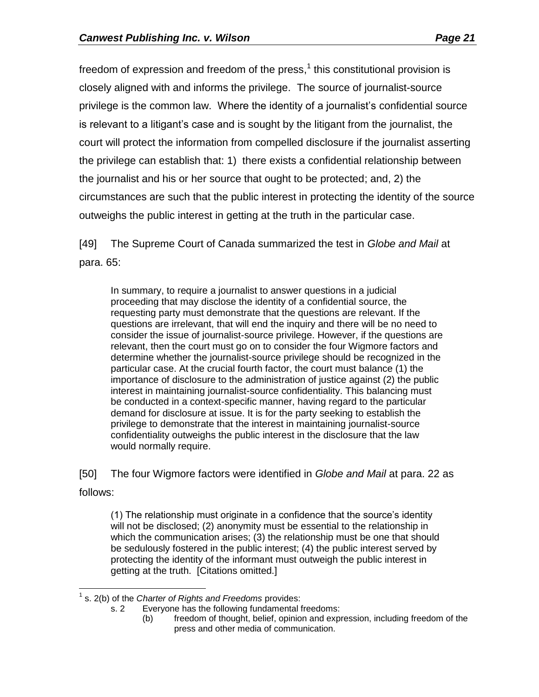freedom of expression and freedom of the press, $<sup>1</sup>$  this constitutional provision is</sup> closely aligned with and informs the privilege. The source of journalist-source privilege is the common law. Where the identity of a journalist's confidential source is relevant to a litigant's case and is sought by the litigant from the journalist, the court will protect the information from compelled disclosure if the journalist asserting the privilege can establish that: 1) there exists a confidential relationship between the journalist and his or her source that ought to be protected; and, 2) the circumstances are such that the public interest in protecting the identity of the source outweighs the public interest in getting at the truth in the particular case.

[49] The Supreme Court of Canada summarized the test in *Globe and Mail* at para. 65:

In summary, to require a journalist to answer questions in a judicial proceeding that may disclose the identity of a confidential source, the requesting party must demonstrate that the questions are relevant. If the questions are irrelevant, that will end the inquiry and there will be no need to consider the issue of journalist-source privilege. However, if the questions are relevant, then the court must go on to consider the four Wigmore factors and determine whether the journalist-source privilege should be recognized in the particular case. At the crucial fourth factor, the court must balance (1) the importance of disclosure to the administration of justice against (2) the public interest in maintaining journalist-source confidentiality. This balancing must be conducted in a context-specific manner, having regard to the particular demand for disclosure at issue. It is for the party seeking to establish the privilege to demonstrate that the interest in maintaining journalist-source confidentiality outweighs the public interest in the disclosure that the law would normally require.

[50] The four Wigmore factors were identified in *Globe and Mail* at para. 22 as follows:

(1) The relationship must originate in a confidence that the source's identity will not be disclosed; (2) anonymity must be essential to the relationship in which the communication arises; (3) the relationship must be one that should be sedulously fostered in the public interest; (4) the public interest served by protecting the identity of the informant must outweigh the public interest in getting at the truth. [Citations omitted.]

 1 s. 2(b) of the *Charter of Rights and Freedoms* provides:

s. 2 Everyone has the following fundamental freedoms:

<sup>(</sup>b) freedom of thought, belief, opinion and expression, including freedom of the press and other media of communication.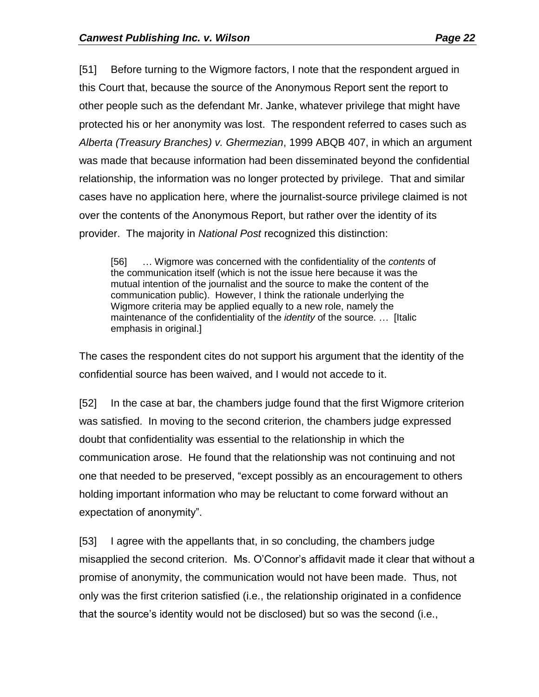[51] Before turning to the Wigmore factors, I note that the respondent argued in this Court that, because the source of the Anonymous Report sent the report to other people such as the defendant Mr. Janke, whatever privilege that might have protected his or her anonymity was lost. The respondent referred to cases such as *Alberta (Treasury Branches) v. Ghermezian*, 1999 ABQB 407, in which an argument was made that because information had been disseminated beyond the confidential relationship, the information was no longer protected by privilege. That and similar cases have no application here, where the journalist-source privilege claimed is not over the contents of the Anonymous Report, but rather over the identity of its provider. The majority in *National Post* recognized this distinction:

[56] … Wigmore was concerned with the confidentiality of the *contents* of the communication itself (which is not the issue here because it was the mutual intention of the journalist and the source to make the content of the communication public). However, I think the rationale underlying the Wigmore criteria may be applied equally to a new role, namely the maintenance of the confidentiality of the *identity* of the source. … [Italic emphasis in original.]

The cases the respondent cites do not support his argument that the identity of the confidential source has been waived, and I would not accede to it.

[52] In the case at bar, the chambers judge found that the first Wigmore criterion was satisfied. In moving to the second criterion, the chambers judge expressed doubt that confidentiality was essential to the relationship in which the communication arose. He found that the relationship was not continuing and not one that needed to be preserved, "except possibly as an encouragement to others holding important information who may be reluctant to come forward without an expectation of anonymity".

[53] I agree with the appellants that, in so concluding, the chambers judge misapplied the second criterion. Ms. O'Connor's affidavit made it clear that without a promise of anonymity, the communication would not have been made. Thus, not only was the first criterion satisfied (i.e., the relationship originated in a confidence that the source's identity would not be disclosed) but so was the second (i.e.,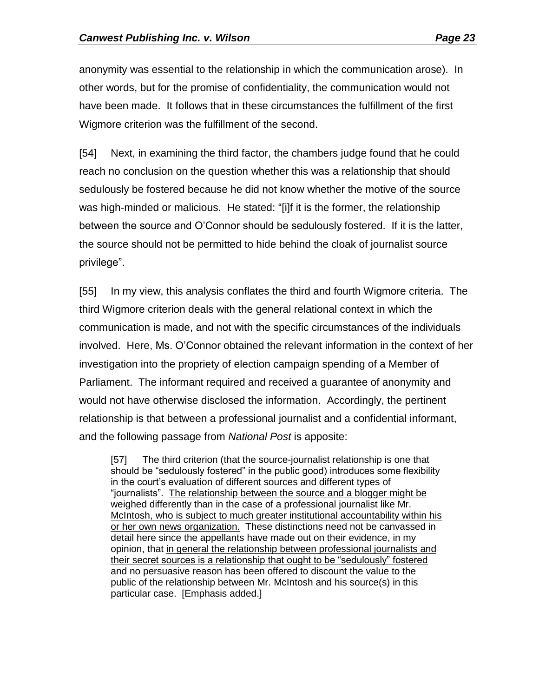anonymity was essential to the relationship in which the communication arose). In other words, but for the promise of confidentiality, the communication would not have been made. It follows that in these circumstances the fulfillment of the first Wigmore criterion was the fulfillment of the second.

[54] Next, in examining the third factor, the chambers judge found that he could reach no conclusion on the question whether this was a relationship that should sedulously be fostered because he did not know whether the motive of the source was high-minded or malicious. He stated: "[i]f it is the former, the relationship between the source and O'Connor should be sedulously fostered. If it is the latter, the source should not be permitted to hide behind the cloak of journalist source privilege".

[55] In my view, this analysis conflates the third and fourth Wigmore criteria. The third Wigmore criterion deals with the general relational context in which the communication is made, and not with the specific circumstances of the individuals involved. Here, Ms. O'Connor obtained the relevant information in the context of her investigation into the propriety of election campaign spending of a Member of Parliament. The informant required and received a guarantee of anonymity and would not have otherwise disclosed the information. Accordingly, the pertinent relationship is that between a professional journalist and a confidential informant, and the following passage from *National Post* is apposite:

[57] The third criterion (that the source-journalist relationship is one that should be "sedulously fostered" in the public good) introduces some flexibility in the court's evaluation of different sources and different types of "journalists". The relationship between the source and a blogger might be weighed differently than in the case of a professional journalist like Mr. McIntosh, who is subject to much greater institutional accountability within his or her own news organization. These distinctions need not be canvassed in detail here since the appellants have made out on their evidence, in my opinion, that in general the relationship between professional journalists and their secret sources is a relationship that ought to be "sedulously" fostered and no persuasive reason has been offered to discount the value to the public of the relationship between Mr. McIntosh and his source(s) in this particular case. [Emphasis added.]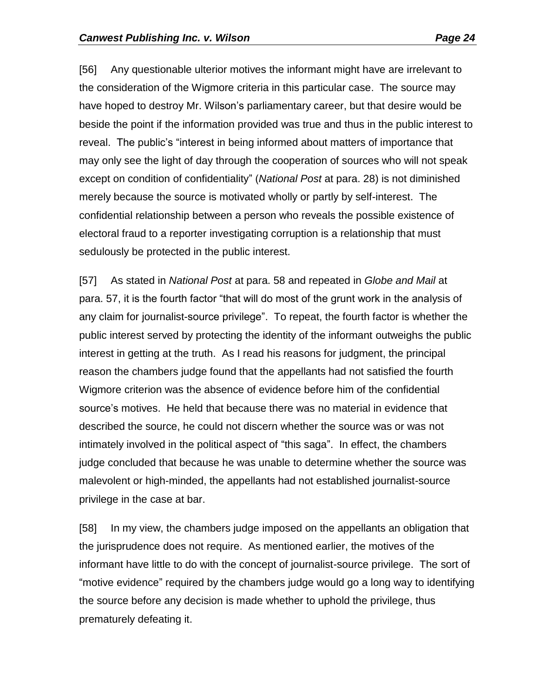[56] Any questionable ulterior motives the informant might have are irrelevant to the consideration of the Wigmore criteria in this particular case. The source may have hoped to destroy Mr. Wilson's parliamentary career, but that desire would be beside the point if the information provided was true and thus in the public interest to reveal. The public's "interest in being informed about matters of importance that may only see the light of day through the cooperation of sources who will not speak except on condition of confidentiality" (*National Post* at para. 28) is not diminished merely because the source is motivated wholly or partly by self-interest. The confidential relationship between a person who reveals the possible existence of electoral fraud to a reporter investigating corruption is a relationship that must sedulously be protected in the public interest.

[57] As stated in *National Post* at para. 58 and repeated in *Globe and Mail* at para. 57, it is the fourth factor "that will do most of the grunt work in the analysis of any claim for journalist-source privilege". To repeat, the fourth factor is whether the public interest served by protecting the identity of the informant outweighs the public interest in getting at the truth. As I read his reasons for judgment, the principal reason the chambers judge found that the appellants had not satisfied the fourth Wigmore criterion was the absence of evidence before him of the confidential source's motives. He held that because there was no material in evidence that described the source, he could not discern whether the source was or was not intimately involved in the political aspect of "this saga". In effect, the chambers judge concluded that because he was unable to determine whether the source was malevolent or high-minded, the appellants had not established journalist-source privilege in the case at bar.

[58] In my view, the chambers judge imposed on the appellants an obligation that the jurisprudence does not require. As mentioned earlier, the motives of the informant have little to do with the concept of journalist-source privilege. The sort of "motive evidence" required by the chambers judge would go a long way to identifying the source before any decision is made whether to uphold the privilege, thus prematurely defeating it.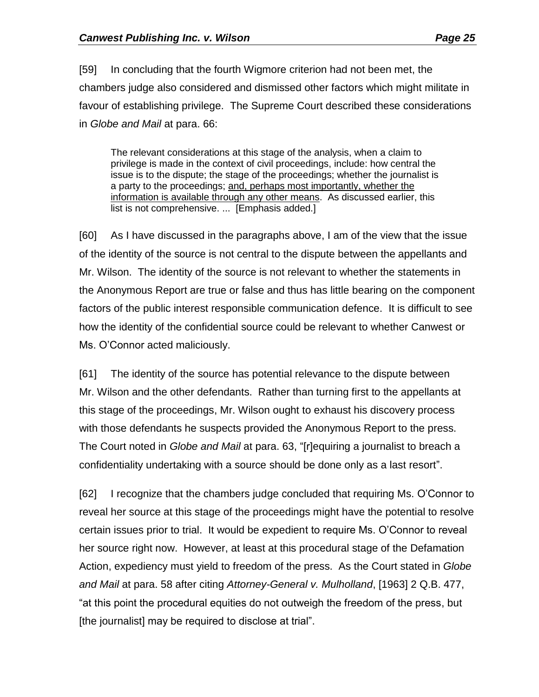[59] In concluding that the fourth Wigmore criterion had not been met, the chambers judge also considered and dismissed other factors which might militate in favour of establishing privilege. The Supreme Court described these considerations in *Globe and Mail* at para. 66:

The relevant considerations at this stage of the analysis, when a claim to privilege is made in the context of civil proceedings, include: how central the issue is to the dispute; the stage of the proceedings; whether the journalist is a party to the proceedings; and, perhaps most importantly, whether the information is available through any other means. As discussed earlier, this list is not comprehensive. ... [Emphasis added.]

[60] As I have discussed in the paragraphs above, I am of the view that the issue of the identity of the source is not central to the dispute between the appellants and Mr. Wilson. The identity of the source is not relevant to whether the statements in the Anonymous Report are true or false and thus has little bearing on the component factors of the public interest responsible communication defence. It is difficult to see how the identity of the confidential source could be relevant to whether Canwest or Ms. O'Connor acted maliciously.

[61] The identity of the source has potential relevance to the dispute between Mr. Wilson and the other defendants. Rather than turning first to the appellants at this stage of the proceedings, Mr. Wilson ought to exhaust his discovery process with those defendants he suspects provided the Anonymous Report to the press. The Court noted in *Globe and Mail* at para. 63, "[r]equiring a journalist to breach a confidentiality undertaking with a source should be done only as a last resort".

[62] I recognize that the chambers judge concluded that requiring Ms. O'Connor to reveal her source at this stage of the proceedings might have the potential to resolve certain issues prior to trial. It would be expedient to require Ms. O'Connor to reveal her source right now. However, at least at this procedural stage of the Defamation Action, expediency must yield to freedom of the press. As the Court stated in *Globe and Mail* at para. 58 after citing *Attorney-General v. Mulholland*, [1963] 2 Q.B. 477, "at this point the procedural equities do not outweigh the freedom of the press, but [the journalist] may be required to disclose at trial".